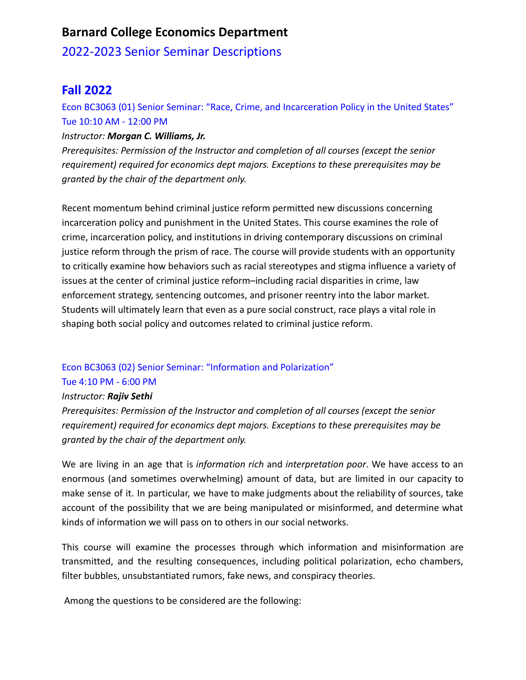# **Barnard College Economics Department**

## 2022-2023 Senior Seminar Descriptions

# **Fall 2022**

Econ BC3063 (01) Senior Seminar: "Race, Crime, and Incarceration Policy in the United States" Tue 10:10 AM - 12:00 PM

### *Instructor: Morgan C. Williams, Jr.*

*Prerequisites: Permission of the Instructor and completion of all courses (except the senior requirement) required for economics dept majors. Exceptions to these prerequisites may be granted by the chair of the department only.*

Recent momentum behind criminal justice reform permitted new discussions concerning incarceration policy and punishment in the United States. This course examines the role of crime, incarceration policy, and institutions in driving contemporary discussions on criminal justice reform through the prism of race. The course will provide students with an opportunity to critically examine how behaviors such as racial stereotypes and stigma influence a variety of issues at the center of criminal justice reform–including racial disparities in crime, law enforcement strategy, sentencing outcomes, and prisoner reentry into the labor market. Students will ultimately learn that even as a pure social construct, race plays a vital role in shaping both social policy and outcomes related to criminal justice reform.

## Econ BC3063 (02) Senior Seminar: "Information and Polarization"

#### Tue 4:10 PM - 6:00 PM

#### *Instructor: Rajiv Sethi*

*Prerequisites: Permission of the Instructor and completion of all courses (except the senior requirement) required for economics dept majors. Exceptions to these prerequisites may be granted by the chair of the department only.*

We are living in an age that is *information rich* and *interpretation poor*. We have access to an enormous (and sometimes overwhelming) amount of data, but are limited in our capacity to make sense of it. In particular, we have to make judgments about the reliability of sources, take account of the possibility that we are being manipulated or misinformed, and determine what kinds of information we will pass on to others in our social networks.

This course will examine the processes through which information and misinformation are transmitted, and the resulting consequences, including political polarization, echo chambers, filter bubbles, unsubstantiated rumors, fake news, and conspiracy theories.

Among the questions to be considered are the following: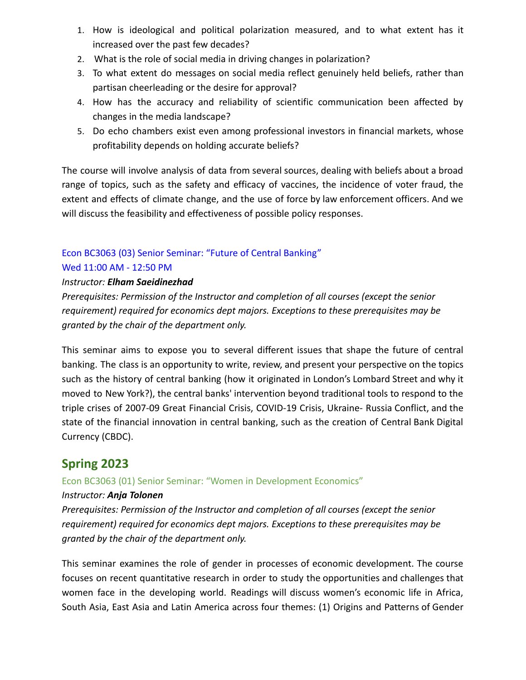- 1. How is ideological and political polarization measured, and to what extent has it increased over the past few decades?
- 2. What is the role of social media in driving changes in polarization?
- 3. To what extent do messages on social media reflect genuinely held beliefs, rather than partisan cheerleading or the desire for approval?
- 4. How has the accuracy and reliability of scientific communication been affected by changes in the media landscape?
- 5. Do echo chambers exist even among professional investors in financial markets, whose profitability depends on holding accurate beliefs?

The course will involve analysis of data from several sources, dealing with beliefs about a broad range of topics, such as the safety and efficacy of vaccines, the incidence of voter fraud, the extent and effects of climate change, and the use of force by law enforcement officers. And we will discuss the feasibility and effectiveness of possible policy responses.

## Econ BC3063 (03) Senior Seminar: "Future of Central Banking" Wed 11:00 AM - 12:50 PM

## *Instructor: Elham Saeidinezhad*

*Prerequisites: Permission of the Instructor and completion of all courses (except the senior requirement) required for economics dept majors. Exceptions to these prerequisites may be granted by the chair of the department only.*

This seminar aims to expose you to several different issues that shape the future of central banking. The class is an opportunity to write, review, and present your perspective on the topics such as the history of central banking (how it originated in London's Lombard Street and why it moved to New York?), the central banks' intervention beyond traditional tools to respond to the triple crises of 2007-09 Great Financial Crisis, COVID-19 Crisis, Ukraine- Russia Conflict, and the state of the financial innovation in central banking, such as the creation of Central Bank Digital Currency (CBDC).

# **Spring 2023**

Econ BC3063 (01) Senior Seminar: "Women in Development Economics"

#### *Instructor: Anja Tolonen*

*Prerequisites: Permission of the Instructor and completion of all courses (except the senior requirement) required for economics dept majors. Exceptions to these prerequisites may be granted by the chair of the department only.*

This seminar examines the role of gender in processes of economic development. The course focuses on recent quantitative research in order to study the opportunities and challenges that women face in the developing world. Readings will discuss women's economic life in Africa, South Asia, East Asia and Latin America across four themes: (1) Origins and Patterns of Gender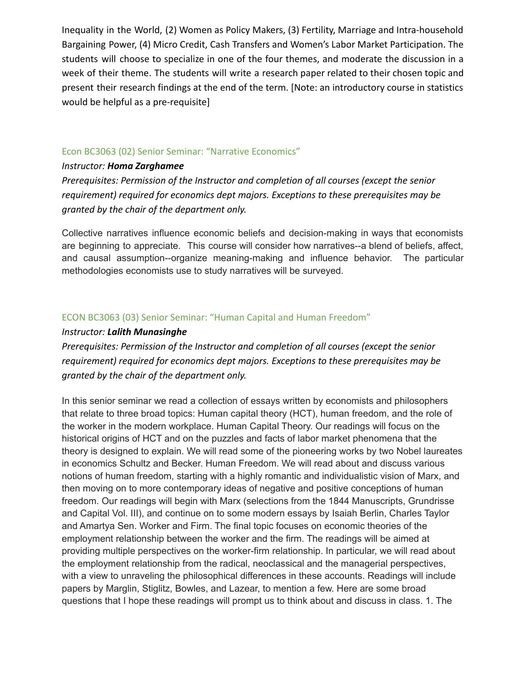Inequality in the World, (2) Women as Policy Makers, (3) Fertility, Marriage and Intra-household Bargaining Power, (4) Micro Credit, Cash Transfers and Women's Labor Market Participation. The students will choose to specialize in one of the four themes, and moderate the discussion in a week of their theme. The students will write a research paper related to their chosen topic and present their research findings at the end of the term. [Note: an introductory course in statistics would be helpful as a pre-requisite]

### Econ BC3063 (02) Senior Seminar: "Narrative Economics"

#### *Instructor: Homa Zarghamee*

*Prerequisites: Permission of the Instructor and completion of all courses (except the senior requirement) required for economics dept majors. Exceptions to these prerequisites may be granted by the chair of the department only.*

Collective narratives influence economic beliefs and decision-making in ways that economists are beginning to appreciate. This course will consider how narratives--a blend of beliefs, affect, and causal assumption--organize meaning-making and influence behavior. The particular methodologies economists use to study narratives will be surveyed.

### ECON BC3063 (03) Senior Seminar: "Human Capital and Human Freedom"

#### *Instructor: Lalith Munasinghe*

*Prerequisites: Permission of the Instructor and completion of all courses (except the senior requirement) required for economics dept majors. Exceptions to these prerequisites may be granted by the chair of the department only.*

In this senior seminar we read a collection of essays written by economists and philosophers that relate to three broad topics: Human capital theory (HCT), human freedom, and the role of the worker in the modern workplace. Human Capital Theory. Our readings will focus on the historical origins of HCT and on the puzzles and facts of labor market phenomena that the theory is designed to explain. We will read some of the pioneering works by two Nobel laureates in economics Schultz and Becker. Human Freedom. We will read about and discuss various notions of human freedom, starting with a highly romantic and individualistic vision of Marx, and then moving on to more contemporary ideas of negative and positive conceptions of human freedom. Our readings will begin with Marx (selections from the 1844 Manuscripts, Grundrisse and Capital Vol. III), and continue on to some modern essays by Isaiah Berlin, Charles Taylor and Amartya Sen. Worker and Firm. The final topic focuses on economic theories of the employment relationship between the worker and the firm. The readings will be aimed at providing multiple perspectives on the worker-firm relationship. In particular, we will read about the employment relationship from the radical, neoclassical and the managerial perspectives, with a view to unraveling the philosophical differences in these accounts. Readings will include papers by Marglin, Stiglitz, Bowles, and Lazear, to mention a few. Here are some broad questions that I hope these readings will prompt us to think about and discuss in class. 1. The